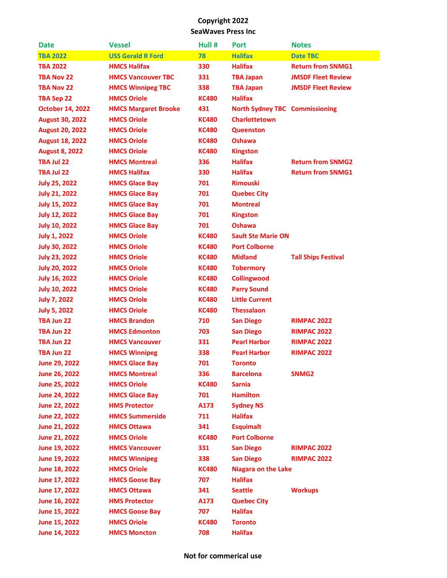| <b>Date</b>             | <b>Vessel</b>               | Hull #       | <b>Port</b>                           | <b>Notes</b>               |
|-------------------------|-----------------------------|--------------|---------------------------------------|----------------------------|
| <b>TBA 2022</b>         | <b>USS Gerald R Ford</b>    | 78           | <b>Halifax</b>                        | <b>Date TBC</b>            |
| <b>TBA 2022</b>         | <b>HMCS Halifax</b>         | 330          | <b>Halifax</b>                        | <b>Return from SNMG1</b>   |
| <b>TBA Nov 22</b>       | <b>HMCS Vancouver TBC</b>   | 331          | <b>TBA Japan</b>                      | <b>JMSDF Fleet Review</b>  |
| <b>TBA Nov 22</b>       | <b>HMCS Winnipeg TBC</b>    | 338          | <b>TBA Japan</b>                      | <b>JMSDF Fleet Review</b>  |
| <b>TBA Sep 22</b>       | <b>HMCS Oriole</b>          | <b>KC480</b> | <b>Halifax</b>                        |                            |
| <b>October 14, 2022</b> | <b>HMCS Margaret Brooke</b> | 431          | <b>North Sydney TBC Commissioning</b> |                            |
| <b>August 30, 2022</b>  | <b>HMCS Oriole</b>          | <b>KC480</b> | <b>Charlottetown</b>                  |                            |
| <b>August 20, 2022</b>  | <b>HMCS Oriole</b>          | <b>KC480</b> | <b>Queenston</b>                      |                            |
| <b>August 18, 2022</b>  | <b>HMCS Oriole</b>          | <b>KC480</b> | <b>Oshawa</b>                         |                            |
| <b>August 8, 2022</b>   | <b>HMCS Oriole</b>          | <b>KC480</b> | <b>Kingston</b>                       |                            |
| TBA Jul 22              | <b>HMCS Montreal</b>        | 336          | <b>Halifax</b>                        | <b>Return from SNMG2</b>   |
| TBA Jul 22              | <b>HMCS Halifax</b>         | 330          | <b>Halifax</b>                        | <b>Return from SNMG1</b>   |
| <b>July 25, 2022</b>    | <b>HMCS Glace Bay</b>       | 701          | <b>Rimouski</b>                       |                            |
| <b>July 21, 2022</b>    | <b>HMCS Glace Bay</b>       | 701          | <b>Quebec City</b>                    |                            |
| <b>July 15, 2022</b>    | <b>HMCS Glace Bay</b>       | 701          | <b>Montreal</b>                       |                            |
| <b>July 12, 2022</b>    | <b>HMCS Glace Bay</b>       | 701          | <b>Kingston</b>                       |                            |
| <b>July 10, 2022</b>    | <b>HMCS Glace Bay</b>       | 701          | <b>Oshawa</b>                         |                            |
| <b>July 1, 2022</b>     | <b>HMCS Oriole</b>          | <b>KC480</b> | <b>Sault Ste Marie ON</b>             |                            |
| <b>July 30, 2022</b>    | <b>HMCS Oriole</b>          | <b>KC480</b> | <b>Port Colborne</b>                  |                            |
| <b>July 23, 2022</b>    | <b>HMCS Oriole</b>          | <b>KC480</b> | <b>Midland</b>                        | <b>Tall Ships Festival</b> |
| <b>July 20, 2022</b>    | <b>HMCS Oriole</b>          | <b>KC480</b> | <b>Tobermory</b>                      |                            |
| <b>July 16, 2022</b>    | <b>HMCS Oriole</b>          | <b>KC480</b> | <b>Collingwood</b>                    |                            |
| <b>July 10, 2022</b>    | <b>HMCS Oriole</b>          | <b>KC480</b> | <b>Parry Sound</b>                    |                            |
| <b>July 7, 2022</b>     | <b>HMCS Oriole</b>          | <b>KC480</b> | <b>Little Current</b>                 |                            |
| <b>July 5, 2022</b>     | <b>HMCS Oriole</b>          | <b>KC480</b> | <b>Thessalaon</b>                     |                            |
| TBA Jun 22              | <b>HMCS Brandon</b>         | 710          | <b>San Diego</b>                      | <b>RIMPAC 2022</b>         |
| TBA Jun 22              | <b>HMCS Edmonton</b>        | 703          | <b>San Diego</b>                      | <b>RIMPAC 2022</b>         |
| TBA Jun 22              | <b>HMCS Vancouver</b>       | 331          | <b>Pearl Harbor</b>                   | <b>RIMPAC 2022</b>         |
| TBA Jun 22              | <b>HMCS Winnipeg</b>        | 338          | <b>Pearl Harbor</b>                   | <b>RIMPAC 2022</b>         |
| June 29, 2022           | <b>HMCS Glace Bay</b>       | 701          | <b>Toronto</b>                        |                            |
| <b>June 26, 2022</b>    | <b>HMCS Montreal</b>        | 336          | <b>Barcelona</b>                      | SNMG <sub>2</sub>          |
| June 25, 2022           | <b>HMCS Oriole</b>          | <b>KC480</b> | <b>Sarnia</b>                         |                            |
| <b>June 24, 2022</b>    | <b>HMCS Glace Bay</b>       | 701          | <b>Hamilton</b>                       |                            |
| <b>June 22, 2022</b>    | <b>HMS Protector</b>        | A173         | <b>Sydney NS</b>                      |                            |
| <b>June 22, 2022</b>    | <b>HMCS Summerside</b>      | 711          | <b>Halifax</b>                        |                            |
| June 21, 2022           | <b>HMCS Ottawa</b>          | 341          | <b>Esquimalt</b>                      |                            |
| June 21, 2022           | <b>HMCS Oriole</b>          | <b>KC480</b> | <b>Port Colborne</b>                  |                            |
| June 19, 2022           | <b>HMCS Vancouver</b>       | 331          | <b>San Diego</b>                      | <b>RIMPAC 2022</b>         |
| June 19, 2022           | <b>HMCS Winnipeg</b>        | 338          | <b>San Diego</b>                      | <b>RIMPAC 2022</b>         |
| June 18, 2022           | <b>HMCS Oriole</b>          | <b>KC480</b> | <b>Niagara on the Lake</b>            |                            |
| June 17, 2022           | <b>HMCS Goose Bay</b>       | 707          | <b>Halifax</b>                        |                            |
| June 17, 2022           | <b>HMCS Ottawa</b>          | 341          | <b>Seattle</b>                        | <b>Workups</b>             |
| June 16, 2022           | <b>HMS Protector</b>        | A173         | <b>Quebec City</b>                    |                            |
| June 15, 2022           | <b>HMCS Goose Bay</b>       | 707          | <b>Halifax</b>                        |                            |
| June 15, 2022           | <b>HMCS Oriole</b>          | <b>KC480</b> | <b>Toronto</b>                        |                            |
| June 14, 2022           | <b>HMCS Moncton</b>         | 708          | <b>Halifax</b>                        |                            |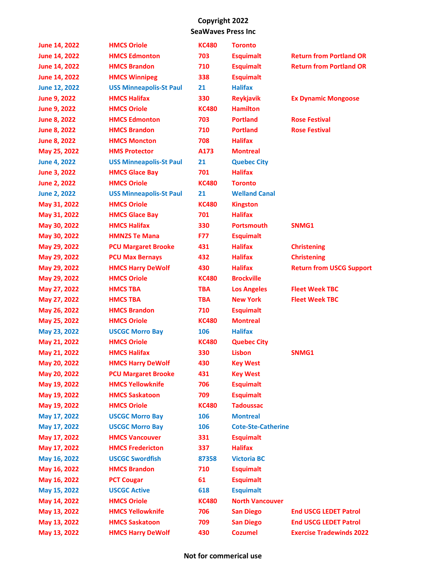| June 14, 2022        | <b>HMCS Oriole</b>             | <b>KC480</b> | <b>Toronto</b>            |                                 |
|----------------------|--------------------------------|--------------|---------------------------|---------------------------------|
| June 14, 2022        | <b>HMCS Edmonton</b>           | 703          | <b>Esquimalt</b>          | <b>Return from Portland OR</b>  |
| <b>June 14, 2022</b> | <b>HMCS Brandon</b>            | 710          | <b>Esquimalt</b>          | <b>Return from Portland OR</b>  |
| June 14, 2022        | <b>HMCS Winnipeg</b>           | 338          | <b>Esquimalt</b>          |                                 |
| <b>June 12, 2022</b> | <b>USS Minneapolis-St Paul</b> | 21           | <b>Halifax</b>            |                                 |
| <b>June 9, 2022</b>  | <b>HMCS Halifax</b>            | 330          | <b>Reykjavik</b>          | <b>Ex Dynamic Mongoose</b>      |
| June 9, 2022         | <b>HMCS Oriole</b>             | <b>KC480</b> | <b>Hamilton</b>           |                                 |
| June 8, 2022         | <b>HMCS Edmonton</b>           | 703          | <b>Portland</b>           | <b>Rose Festival</b>            |
| <b>June 8, 2022</b>  | <b>HMCS Brandon</b>            | 710          | <b>Portland</b>           | <b>Rose Festival</b>            |
| <b>June 8, 2022</b>  | <b>HMCS Moncton</b>            | 708          | <b>Halifax</b>            |                                 |
| May 25, 2022         | <b>HMS Protector</b>           | A173         | <b>Montreal</b>           |                                 |
| <b>June 4, 2022</b>  | <b>USS Minneapolis-St Paul</b> | 21           | <b>Quebec City</b>        |                                 |
| June 3, 2022         | <b>HMCS Glace Bay</b>          | 701          | <b>Halifax</b>            |                                 |
| <b>June 2, 2022</b>  | <b>HMCS Oriole</b>             | <b>KC480</b> | <b>Toronto</b>            |                                 |
| <b>June 2, 2022</b>  | <b>USS Minneapolis-St Paul</b> | 21           | <b>Welland Canal</b>      |                                 |
| May 31, 2022         | <b>HMCS Oriole</b>             | <b>KC480</b> | <b>Kingston</b>           |                                 |
| May 31, 2022         | <b>HMCS Glace Bay</b>          | 701          | <b>Halifax</b>            |                                 |
| May 30, 2022         | <b>HMCS Halifax</b>            | 330          | <b>Portsmouth</b>         | SNMG1                           |
| May 30, 2022         | <b>HMNZS Te Mana</b>           | <b>F77</b>   | <b>Esquimalt</b>          |                                 |
| May 29, 2022         | <b>PCU Margaret Brooke</b>     | 431          | <b>Halifax</b>            | <b>Christening</b>              |
| May 29, 2022         | <b>PCU Max Bernays</b>         | 432          | <b>Halifax</b>            | <b>Christening</b>              |
| May 29, 2022         | <b>HMCS Harry DeWolf</b>       | 430          | <b>Halifax</b>            | <b>Return from USCG Support</b> |
| May 29, 2022         | <b>HMCS Oriole</b>             | <b>KC480</b> | <b>Brockville</b>         |                                 |
| May 27, 2022         | <b>HMCS TBA</b>                | <b>TBA</b>   | <b>Los Angeles</b>        | <b>Fleet Week TBC</b>           |
| May 27, 2022         | <b>HMCS TBA</b>                | <b>TBA</b>   | <b>New York</b>           | <b>Fleet Week TBC</b>           |
| May 26, 2022         | <b>HMCS Brandon</b>            | 710          | <b>Esquimalt</b>          |                                 |
| May 25, 2022         | <b>HMCS Oriole</b>             | <b>KC480</b> | <b>Montreal</b>           |                                 |
| May 23, 2022         | <b>USCGC Morro Bay</b>         | 106          | <b>Halifax</b>            |                                 |
| May 21, 2022         | <b>HMCS Oriole</b>             | <b>KC480</b> | <b>Quebec City</b>        |                                 |
| May 21, 2022         | <b>HMCS Halifax</b>            | 330          | Lisbon                    | SNMG1                           |
| May 20, 2022         | <b>HMCS Harry DeWolf</b>       | 430          | <b>Key West</b>           |                                 |
| May 20, 2022         | <b>PCU Margaret Brooke</b>     | 431          | <b>Key West</b>           |                                 |
| May 19, 2022         | <b>HMCS Yellowknife</b>        | 706          | <b>Esquimalt</b>          |                                 |
| May 19, 2022         | <b>HMCS Saskatoon</b>          | 709          | <b>Esquimalt</b>          |                                 |
| May 19, 2022         | <b>HMCS Oriole</b>             | <b>KC480</b> | <b>Tadoussac</b>          |                                 |
| May 17, 2022         | <b>USCGC Morro Bay</b>         | 106          | <b>Montreal</b>           |                                 |
| May 17, 2022         | <b>USCGC Morro Bay</b>         | 106          | <b>Cote-Ste-Catherine</b> |                                 |
| May 17, 2022         | <b>HMCS Vancouver</b>          | 331          | <b>Esquimalt</b>          |                                 |
| May 17, 2022         | <b>HMCS Fredericton</b>        | 337          | <b>Halifax</b>            |                                 |
| May 16, 2022         | <b>USCGC Swordfish</b>         | 87358        | <b>Victoria BC</b>        |                                 |
| May 16, 2022         | <b>HMCS Brandon</b>            | 710          | <b>Esquimalt</b>          |                                 |
| May 16, 2022         | <b>PCT Cougar</b>              | 61           | <b>Esquimalt</b>          |                                 |
| May 15, 2022         | <b>USCGC Active</b>            | 618          | <b>Esquimalt</b>          |                                 |
| May 14, 2022         | <b>HMCS Oriole</b>             | <b>KC480</b> | <b>North Vancouver</b>    |                                 |
| May 13, 2022         | <b>HMCS Yellowknife</b>        | 706          | <b>San Diego</b>          | <b>End USCG LEDET Patrol</b>    |
| May 13, 2022         | <b>HMCS Saskatoon</b>          | 709          | <b>San Diego</b>          | <b>End USCG LEDET Patrol</b>    |
| May 13, 2022         | <b>HMCS Harry DeWolf</b>       | 430          | <b>Cozumel</b>            | <b>Exercise Tradewinds 2022</b> |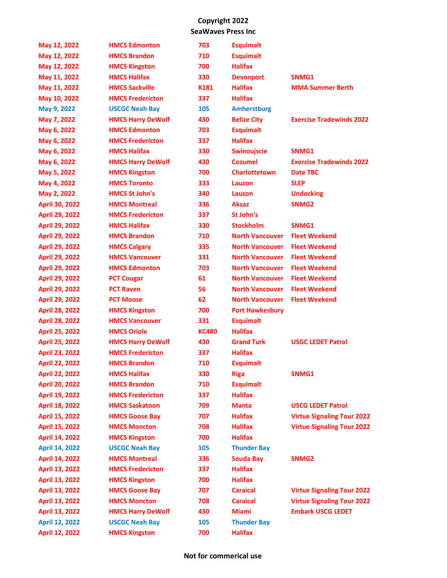| May 12, 2022          | <b>HMCS Edmonton</b>     | 703          | <b>Esquimalt</b>       |                                   |
|-----------------------|--------------------------|--------------|------------------------|-----------------------------------|
| May 12, 2022          | <b>HMCS Brandon</b>      | 710          | <b>Esquimalt</b>       |                                   |
| May 12, 2022          | <b>HMCS Kingston</b>     | 700          | <b>Halifax</b>         |                                   |
| May 11, 2022          | <b>HMCS Halifax</b>      | 330          | <b>Devonport</b>       | SNMG1                             |
| May 11, 2022          | <b>HMCS Sackville</b>    | K181         | <b>Halifax</b>         | <b>MMA Summer Berth</b>           |
| May 10, 2022          | <b>HMCS Fredericton</b>  | 337          | <b>Halifax</b>         |                                   |
| May 9, 2022           | <b>USCGC Neah Bay</b>    | 105          | <b>Amherstburg</b>     |                                   |
| May 7, 2022           | <b>HMCS Harry DeWolf</b> | 430          | <b>Belize City</b>     | <b>Exercise Tradewinds 2022</b>   |
| May 6, 2022           | <b>HMCS Edmonton</b>     | 703          | <b>Esquimalt</b>       |                                   |
| May 6, 2022           | <b>HMCS Fredericton</b>  | 337          | <b>Halifax</b>         |                                   |
| May 6, 2022           | <b>HMCS Halifax</b>      | 330          | <b>Swinoujscie</b>     | SNMG1                             |
| May 6, 2022           | <b>HMCS Harry DeWolf</b> | 430          | <b>Cozumel</b>         | <b>Exercise Tradewinds 2022</b>   |
| May 5, 2022           | <b>HMCS Kingston</b>     | 700          | <b>Charlottetown</b>   | <b>Date TBC</b>                   |
| May 4, 2022           | <b>HMCS Toronto</b>      | 333          | Lauzon                 | <b>SLEP</b>                       |
| May 2, 2022           | <b>HMCS St John's</b>    | 340          | Lauzon                 | <b>Undocking</b>                  |
| <b>April 30, 2022</b> | <b>HMCS Montreal</b>     | 336          | <b>Aksaz</b>           | SNMG <sub>2</sub>                 |
| <b>April 29, 2022</b> | <b>HMCS Fredericton</b>  | 337          | St John's              |                                   |
| <b>April 29, 2022</b> | <b>HMCS Halifax</b>      | 330          | <b>Stockholm</b>       | SNMG1                             |
| <b>April 29, 2022</b> | <b>HMCS Brandon</b>      | 710          | <b>North Vancouver</b> | <b>Fleet Weekend</b>              |
| <b>April 29, 2022</b> | <b>HMCS Calgary</b>      | 335          | <b>North Vancouver</b> | <b>Fleet Weekend</b>              |
| <b>April 29, 2022</b> | <b>HMCS Vancouver</b>    | 331          | <b>North Vancouver</b> | <b>Fleet Weekend</b>              |
| <b>April 29, 2022</b> | <b>HMCS Edmonton</b>     | 703          | <b>North Vancouver</b> | <b>Fleet Weekend</b>              |
| <b>April 29, 2022</b> | <b>PCT Cougar</b>        | 61           | <b>North Vancouver</b> | <b>Fleet Weekend</b>              |
| <b>April 29, 2022</b> | <b>PCT Raven</b>         | 56           | <b>North Vancouver</b> | <b>Fleet Weekend</b>              |
| <b>April 29, 2022</b> | <b>PCT Moose</b>         | 62           | <b>North Vancouver</b> | <b>Fleet Weekend</b>              |
| <b>April 28, 2022</b> | <b>HMCS Kingston</b>     | 700          | <b>Port Hawkesbury</b> |                                   |
| <b>April 28, 2022</b> | <b>HMCS Vancouver</b>    | 331          | <b>Esquimalt</b>       |                                   |
| <b>April 25, 2022</b> | <b>HMCS Oriole</b>       | <b>KC480</b> | <b>Halifax</b>         |                                   |
| <b>April 25, 2022</b> | <b>HMCS Harry DeWolf</b> | 430          | <b>Grand Turk</b>      | <b>USGC LEDET Patrol</b>          |
| April 23, 2022        | <b>HMCS Fredericton</b>  | 337          | <b>Halifax</b>         |                                   |
| <b>April 22, 2022</b> | <b>HMCS Brandon</b>      | 710          | <b>Esquimalt</b>       |                                   |
| <b>April 22, 2022</b> | <b>HMCS Halifax</b>      | 330          | <b>Riga</b>            | SNMG1                             |
| <b>April 20, 2022</b> | <b>HMCS Brandon</b>      | 710          | <b>Esquimalt</b>       |                                   |
| April 19, 2022        | <b>HMCS Fredericton</b>  | 337          | <b>Halifax</b>         |                                   |
| <b>April 18, 2022</b> | <b>HMCS Saskatoon</b>    | 709          | <b>Manta</b>           | <b>USCG LEDET Patrol</b>          |
| <b>April 15, 2022</b> | <b>HMCS Goose Bay</b>    | 707          | <b>Halifax</b>         | <b>Virtue Signaling Tour 2022</b> |
| April 15, 2022        | <b>HMCS Moncton</b>      | 708          | <b>Halifax</b>         | <b>Virtue Signaling Tour 2022</b> |
| April 14, 2022        | <b>HMCS Kingston</b>     | 700          | <b>Halifax</b>         |                                   |
| <b>April 14, 2022</b> | <b>USCGC Neah Bay</b>    | 105          | <b>Thunder Bay</b>     |                                   |
| <b>April 14, 2022</b> | <b>HMCS Montreal</b>     | 336          | <b>Souda Bay</b>       | SNMG <sub>2</sub>                 |
| April 13, 2022        | <b>HMCS Fredericton</b>  | 337          | <b>Halifax</b>         |                                   |
| April 13, 2022        | <b>HMCS Kingston</b>     | 700          | <b>Halifax</b>         |                                   |
| April 13, 2022        | <b>HMCS Goose Bay</b>    | 707          | <b>Caraical</b>        | <b>Virtue Signaling Tour 2022</b> |
| April 13, 2022        | <b>HMCS Moncton</b>      | 708          | <b>Caraical</b>        | <b>Virtue Signaling Tour 2022</b> |
| <b>April 13, 2022</b> | <b>HMCS Harry DeWolf</b> | 430          | <b>Miami</b>           | <b>Embark USCG LEDET</b>          |
| <b>April 12, 2022</b> | <b>USCGC Neah Bay</b>    | 105          | <b>Thunder Bay</b>     |                                   |
| April 12, 2022        | <b>HMCS Kingston</b>     | 700          | <b>Halifax</b>         |                                   |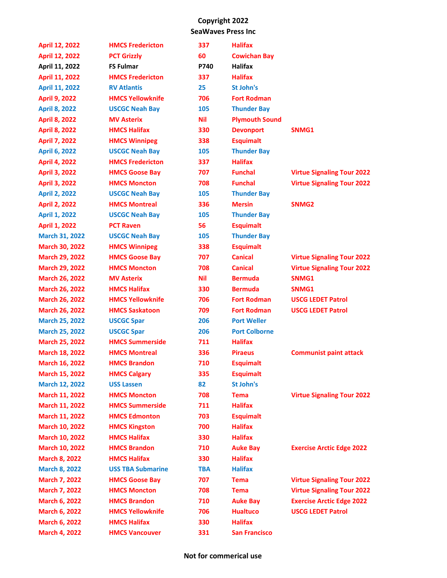| <b>April 12, 2022</b> | <b>HMCS Fredericton</b>  | 337        | <b>Halifax</b>        |                                   |
|-----------------------|--------------------------|------------|-----------------------|-----------------------------------|
| <b>April 12, 2022</b> | <b>PCT Grizzly</b>       | 60         | <b>Cowichan Bay</b>   |                                   |
| April 11, 2022        | <b>FS Fulmar</b>         | P740       | <b>Halifax</b>        |                                   |
| April 11, 2022        | <b>HMCS Fredericton</b>  | 337        | <b>Halifax</b>        |                                   |
| <b>April 11, 2022</b> | <b>RV Atlantis</b>       | 25         | St John's             |                                   |
| <b>April 9, 2022</b>  | <b>HMCS Yellowknife</b>  | 706        | <b>Fort Rodman</b>    |                                   |
| <b>April 8, 2022</b>  | <b>USCGC Neah Bay</b>    | 105        | <b>Thunder Bay</b>    |                                   |
| <b>April 8, 2022</b>  | <b>MV Asterix</b>        | Nil        | <b>Plymouth Sound</b> |                                   |
| <b>April 8, 2022</b>  | <b>HMCS Halifax</b>      | 330        | <b>Devonport</b>      | SNMG1                             |
| <b>April 7, 2022</b>  | <b>HMCS Winnipeg</b>     | 338        | <b>Esquimalt</b>      |                                   |
| <b>April 6, 2022</b>  | <b>USCGC Neah Bay</b>    | 105        | <b>Thunder Bay</b>    |                                   |
| <b>April 4, 2022</b>  | <b>HMCS Fredericton</b>  | 337        | <b>Halifax</b>        |                                   |
| <b>April 3, 2022</b>  | <b>HMCS Goose Bay</b>    | 707        | <b>Funchal</b>        | <b>Virtue Signaling Tour 2022</b> |
| <b>April 3, 2022</b>  | <b>HMCS Moncton</b>      | 708        | <b>Funchal</b>        | <b>Virtue Signaling Tour 2022</b> |
| <b>April 2, 2022</b>  | <b>USCGC Neah Bay</b>    | 105        | <b>Thunder Bay</b>    |                                   |
| <b>April 2, 2022</b>  | <b>HMCS Montreal</b>     | 336        | <b>Mersin</b>         | SNMG <sub>2</sub>                 |
| <b>April 1, 2022</b>  | <b>USCGC Neah Bay</b>    | 105        | <b>Thunder Bay</b>    |                                   |
| <b>April 1, 2022</b>  | <b>PCT Raven</b>         | 56         | <b>Esquimalt</b>      |                                   |
| <b>March 31, 2022</b> | <b>USCGC Neah Bay</b>    | 105        | <b>Thunder Bay</b>    |                                   |
| <b>March 30, 2022</b> | <b>HMCS Winnipeg</b>     | 338        | <b>Esquimalt</b>      |                                   |
| <b>March 29, 2022</b> | <b>HMCS Goose Bay</b>    | 707        | <b>Canical</b>        | <b>Virtue Signaling Tour 2022</b> |
| <b>March 29, 2022</b> | <b>HMCS Moncton</b>      | 708        | <b>Canical</b>        | <b>Virtue Signaling Tour 2022</b> |
| <b>March 26, 2022</b> | <b>MV Asterix</b>        | Nil        | <b>Bermuda</b>        | SNMG1                             |
| <b>March 26, 2022</b> | <b>HMCS Halifax</b>      | 330        | <b>Bermuda</b>        | SNMG1                             |
| <b>March 26, 2022</b> | <b>HMCS Yellowknife</b>  | 706        | <b>Fort Rodman</b>    | <b>USCG LEDET Patrol</b>          |
| <b>March 26, 2022</b> | <b>HMCS Saskatoon</b>    | 709        | <b>Fort Rodman</b>    | <b>USCG LEDET Patrol</b>          |
| <b>March 25, 2022</b> | <b>USCGC Spar</b>        | 206        | <b>Port Weller</b>    |                                   |
| <b>March 25, 2022</b> | <b>USCGC Spar</b>        | 206        | <b>Port Colborne</b>  |                                   |
| <b>March 25, 2022</b> | <b>HMCS Summerside</b>   | 711        | <b>Halifax</b>        |                                   |
| <b>March 18, 2022</b> | <b>HMCS Montreal</b>     | 336        | <b>Piraeus</b>        | <b>Communist paint attack</b>     |
| <b>March 16, 2022</b> | <b>HMCS Brandon</b>      | 710        | <b>Esquimalt</b>      |                                   |
| March 15, 2022        | <b>HMCS Calgary</b>      | 335        | <b>Esquimalt</b>      |                                   |
| <b>March 12, 2022</b> | <b>USS Lassen</b>        | 82         | St John's             |                                   |
| March 11, 2022        | <b>HMCS Moncton</b>      | 708        | <b>Tema</b>           | <b>Virtue Signaling Tour 2022</b> |
| March 11, 2022        | <b>HMCS Summerside</b>   | 711        | <b>Halifax</b>        |                                   |
| March 11, 2022        | <b>HMCS Edmonton</b>     | 703        | <b>Esquimalt</b>      |                                   |
| <b>March 10, 2022</b> | <b>HMCS Kingston</b>     | 700        | <b>Halifax</b>        |                                   |
| <b>March 10, 2022</b> | <b>HMCS Halifax</b>      | 330        | <b>Halifax</b>        |                                   |
| <b>March 10, 2022</b> | <b>HMCS Brandon</b>      | 710        | <b>Auke Bay</b>       | <b>Exercise Arctic Edge 2022</b>  |
| <b>March 8, 2022</b>  | <b>HMCS Halifax</b>      | 330        | <b>Halifax</b>        |                                   |
| <b>March 8, 2022</b>  | <b>USS TBA Submarine</b> | <b>TBA</b> | <b>Halifax</b>        |                                   |
| <b>March 7, 2022</b>  | <b>HMCS Goose Bay</b>    | 707        | <b>Tema</b>           | <b>Virtue Signaling Tour 2022</b> |
| <b>March 7, 2022</b>  | <b>HMCS Moncton</b>      | 708        | <b>Tema</b>           | <b>Virtue Signaling Tour 2022</b> |
| <b>March 6, 2022</b>  | <b>HMCS Brandon</b>      | 710        | <b>Auke Bay</b>       | <b>Exercise Arctic Edge 2022</b>  |
| <b>March 6, 2022</b>  | <b>HMCS Yellowknife</b>  | 706        | <b>Hualtuco</b>       | <b>USCG LEDET Patrol</b>          |
| <b>March 6, 2022</b>  | <b>HMCS Halifax</b>      | 330        | <b>Halifax</b>        |                                   |
| <b>March 4, 2022</b>  | <b>HMCS Vancouver</b>    | 331        | <b>San Francisco</b>  |                                   |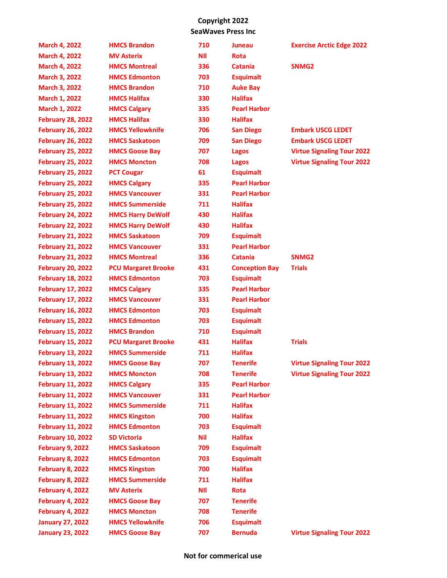| <b>March 4, 2022</b>     | <b>HMCS Brandon</b>        | 710        | Juneau                | <b>Exercise Arctic Edge 2022</b>  |
|--------------------------|----------------------------|------------|-----------------------|-----------------------------------|
| <b>March 4, 2022</b>     | <b>MV Asterix</b>          | <b>NII</b> | <b>Rota</b>           |                                   |
| <b>March 4, 2022</b>     | <b>HMCS Montreal</b>       | 336        | <b>Catania</b>        | SNMG <sub>2</sub>                 |
| <b>March 3, 2022</b>     | <b>HMCS Edmonton</b>       | 703        | <b>Esquimalt</b>      |                                   |
| <b>March 3, 2022</b>     | <b>HMCS Brandon</b>        | 710        | <b>Auke Bay</b>       |                                   |
| <b>March 1, 2022</b>     | <b>HMCS Halifax</b>        | 330        | <b>Halifax</b>        |                                   |
| <b>March 1, 2022</b>     | <b>HMCS Calgary</b>        | 335        | <b>Pearl Harbor</b>   |                                   |
| <b>February 28, 2022</b> | <b>HMCS Halifax</b>        | 330        | <b>Halifax</b>        |                                   |
| <b>February 26, 2022</b> | <b>HMCS Yellowknife</b>    | 706        | <b>San Diego</b>      | <b>Embark USCG LEDET</b>          |
| <b>February 26, 2022</b> | <b>HMCS Saskatoon</b>      | 709        | <b>San Diego</b>      | <b>Embark USCG LEDET</b>          |
| <b>February 25, 2022</b> | <b>HMCS Goose Bay</b>      | 707        | Lagos                 | <b>Virtue Signaling Tour 2022</b> |
| <b>February 25, 2022</b> | <b>HMCS Moncton</b>        | 708        | Lagos                 | <b>Virtue Signaling Tour 2022</b> |
| <b>February 25, 2022</b> | <b>PCT Cougar</b>          | 61         | <b>Esquimalt</b>      |                                   |
| <b>February 25, 2022</b> | <b>HMCS Calgary</b>        | 335        | <b>Pearl Harbor</b>   |                                   |
| <b>February 25, 2022</b> | <b>HMCS Vancouver</b>      | 331        | <b>Pearl Harbor</b>   |                                   |
| <b>February 25, 2022</b> | <b>HMCS Summerside</b>     | 711        | <b>Halifax</b>        |                                   |
| <b>February 24, 2022</b> | <b>HMCS Harry DeWolf</b>   | 430        | <b>Halifax</b>        |                                   |
| <b>February 22, 2022</b> | <b>HMCS Harry DeWolf</b>   | 430        | <b>Halifax</b>        |                                   |
| <b>February 21, 2022</b> | <b>HMCS Saskatoon</b>      | 709        | <b>Esquimalt</b>      |                                   |
| <b>February 21, 2022</b> | <b>HMCS Vancouver</b>      | 331        | <b>Pearl Harbor</b>   |                                   |
| <b>February 21, 2022</b> | <b>HMCS Montreal</b>       | 336        | <b>Catania</b>        | SNMG <sub>2</sub>                 |
| <b>February 20, 2022</b> | <b>PCU Margaret Brooke</b> | 431        | <b>Conception Bay</b> | <b>Trials</b>                     |
| <b>February 18, 2022</b> | <b>HMCS Edmonton</b>       | 703        | <b>Esquimalt</b>      |                                   |
| <b>February 17, 2022</b> | <b>HMCS Calgary</b>        | 335        | <b>Pearl Harbor</b>   |                                   |
| <b>February 17, 2022</b> | <b>HMCS Vancouver</b>      | 331        | <b>Pearl Harbor</b>   |                                   |
| <b>February 16, 2022</b> | <b>HMCS Edmonton</b>       | 703        | <b>Esquimalt</b>      |                                   |
| <b>February 15, 2022</b> | <b>HMCS Edmonton</b>       | 703        | <b>Esquimalt</b>      |                                   |
| <b>February 15, 2022</b> | <b>HMCS Brandon</b>        | 710        | <b>Esquimalt</b>      |                                   |
| <b>February 15, 2022</b> | <b>PCU Margaret Brooke</b> | 431        | <b>Halifax</b>        | <b>Trials</b>                     |
| <b>February 13, 2022</b> | <b>HMCS Summerside</b>     | 711        | <b>Halifax</b>        |                                   |
| <b>February 13, 2022</b> | <b>HMCS Goose Bay</b>      | 707        | <b>Tenerife</b>       | <b>Virtue Signaling Tour 2022</b> |
| <b>February 13, 2022</b> | <b>HMCS Moncton</b>        | 708        | <b>Tenerife</b>       | <b>Virtue Signaling Tour 2022</b> |
| <b>February 11, 2022</b> | <b>HMCS Calgary</b>        | 335        | <b>Pearl Harbor</b>   |                                   |
| <b>February 11, 2022</b> | <b>HMCS Vancouver</b>      | 331        | <b>Pearl Harbor</b>   |                                   |
| <b>February 11, 2022</b> | <b>HMCS Summerside</b>     | 711        | <b>Halifax</b>        |                                   |
| <b>February 11, 2022</b> | <b>HMCS Kingston</b>       | 700        | <b>Halifax</b>        |                                   |
| <b>February 11, 2022</b> | <b>HMCS Edmonton</b>       | 703        | <b>Esquimalt</b>      |                                   |
| <b>February 10, 2022</b> | <b>SD Victoria</b>         | Nil        | <b>Halifax</b>        |                                   |
| February 9, 2022         | <b>HMCS Saskatoon</b>      | 709        | <b>Esquimalt</b>      |                                   |
| <b>February 8, 2022</b>  | <b>HMCS Edmonton</b>       | 703        | <b>Esquimalt</b>      |                                   |
| <b>February 8, 2022</b>  | <b>HMCS Kingston</b>       | 700        | <b>Halifax</b>        |                                   |
| <b>February 8, 2022</b>  | <b>HMCS Summerside</b>     | 711        | <b>Halifax</b>        |                                   |
| February 4, 2022         | <b>MV Asterix</b>          | <b>NII</b> | <b>Rota</b>           |                                   |
| February 4, 2022         | <b>HMCS Goose Bay</b>      | 707        | <b>Tenerife</b>       |                                   |
| February 4, 2022         | <b>HMCS Moncton</b>        | 708        | <b>Tenerife</b>       |                                   |
| <b>January 27, 2022</b>  | <b>HMCS Yellowknife</b>    | 706        | <b>Esquimalt</b>      |                                   |
| <b>January 23, 2022</b>  | <b>HMCS Goose Bay</b>      | 707        | <b>Bernuda</b>        | <b>Virtue Signaling Tour 2022</b> |